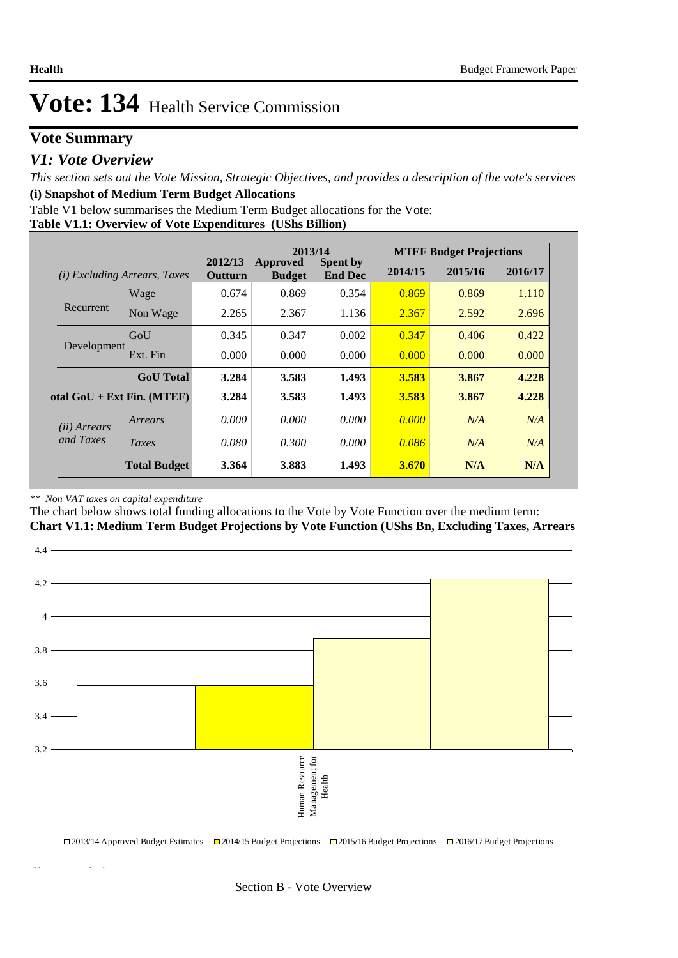## **Vote Summary**

## *V1: Vote Overview*

*This section sets out the Vote Mission, Strategic Objectives, and provides a description of the vote's services* **(i) Snapshot of Medium Term Budget Allocations** 

**Table V1.1: Overview of Vote Expenditures (UShs Billion)** Table V1 below summarises the Medium Term Budget allocations for the Vote:

|  | <b>Table VI.I: OVERVIEW OF VOTE EXPENDITURES</b> (USIS BILLION) |  |
|--|-----------------------------------------------------------------|--|
|  |                                                                 |  |

|                              |                                 |                    | 2013/14                   |                                   |              | <b>MTEF Budget Projections</b> |         |
|------------------------------|---------------------------------|--------------------|---------------------------|-----------------------------------|--------------|--------------------------------|---------|
| (i)                          | <b>Excluding Arrears, Taxes</b> | 2012/13<br>Outturn | Approved<br><b>Budget</b> | <b>Spent by</b><br><b>End Dec</b> | 2014/15      | 2015/16                        | 2016/17 |
|                              | Wage                            | 0.674              | 0.869                     | 0.354                             | 0.869        | 0.869                          | 1.110   |
| Recurrent                    | Non Wage                        | 2.265              | 2.367                     | 1.136                             | 2.367        | 2.592                          | 2.696   |
|                              | GoU                             | 0.345              | 0.347                     | 0.002                             | 0.347        | 0.406                          | 0.422   |
| Development                  | Ext. Fin                        | 0.000              | 0.000                     | 0.000                             | 0.000        | 0.000                          | 0.000   |
|                              | <b>GoU</b> Total                | 3.284              | 3.583                     | 1.493                             | 3.583        | 3.867                          | 4.228   |
| otal $GoU + Ext Fin. (MTEF)$ |                                 | 3.284              | 3.583                     | 1.493                             | 3.583        | 3.867                          | 4.228   |
| ( <i>ii</i> ) Arrears        | Arrears                         | 0.000              | 0.000                     | 0.000                             | 0.000        | N/A                            | N/A     |
| and Taxes                    | Taxes                           | 0.080              | 0.300                     | 0.000                             | 0.086        | N/A                            | N/A     |
|                              | <b>Total Budget</b>             | 3.364              | 3.883                     | 1.493                             | <b>3.670</b> | N/A                            | N/A     |

#### *\*\* Non VAT taxes on capital expenditure*

**(ii) Vote Mission Statement**

The chart below shows total funding allocations to the Vote by Vote Function over the medium term:

**Chart V1.1: Medium Term Budget Projections by Vote Function (UShs Bn, Excluding Taxes, Arrears**

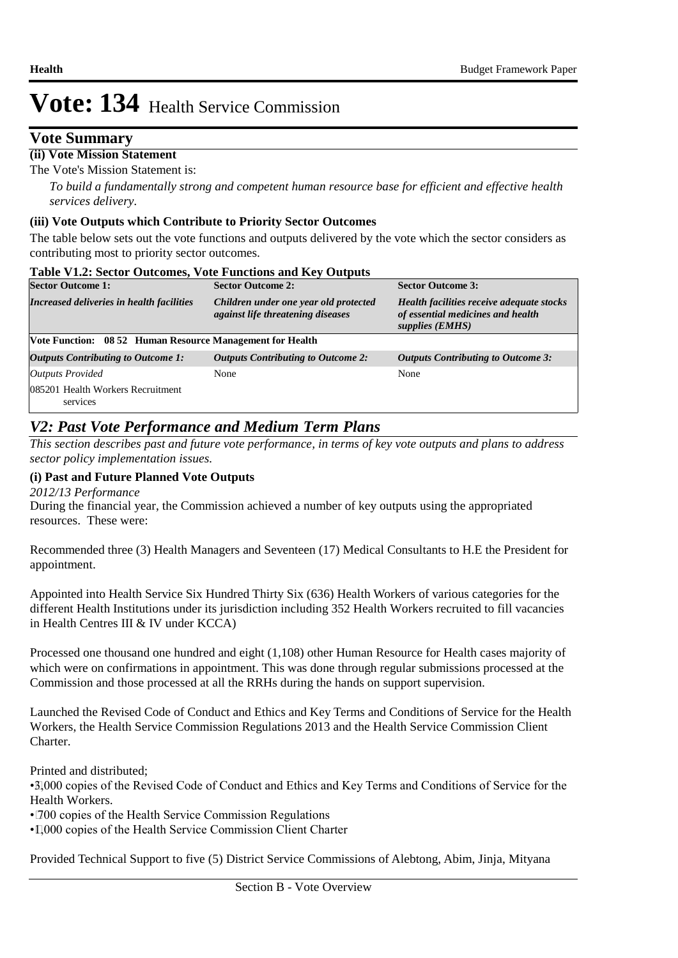## **Vote Summary**

## **(ii) Vote Mission Statement**

The Vote's Mission Statement is:

*To build a fundamentally strong and competent human resource base for efficient and effective health services delivery.*

### **(iii) Vote Outputs which Contribute to Priority Sector Outcomes**

The table below sets out the vote functions and outputs delivered by the vote which the sector considers as contributing most to priority sector outcomes.

| <b>Table V1.2: Sector Outcomes, Vote Functions and Key Outputs</b> |                                                                                   |                                                                                                   |  |  |  |  |  |  |  |
|--------------------------------------------------------------------|-----------------------------------------------------------------------------------|---------------------------------------------------------------------------------------------------|--|--|--|--|--|--|--|
| <b>Sector Outcome 1:</b>                                           | <b>Sector Outcome 2:</b>                                                          | <b>Sector Outcome 3:</b>                                                                          |  |  |  |  |  |  |  |
| Increased deliveries in health facilities                          | Children under one year old protected<br><i>against life threatening diseases</i> | Health facilities receive adequate stocks<br>of essential medicines and health<br>supplies (EMHS) |  |  |  |  |  |  |  |
|                                                                    | <b>Vote Function: 08 52 Human Resource Management for Health</b>                  |                                                                                                   |  |  |  |  |  |  |  |
| <b>Outputs Contributing to Outcome 1:</b>                          | <b>Outputs Contributing to Outcome 2:</b>                                         | <b>Outputs Contributing to Outcome 3:</b>                                                         |  |  |  |  |  |  |  |
| <b>Outputs Provided</b>                                            | None                                                                              | None                                                                                              |  |  |  |  |  |  |  |
| 085201 Health Workers Recruitment<br>services                      |                                                                                   |                                                                                                   |  |  |  |  |  |  |  |

## *V2: Past Vote Performance and Medium Term Plans*

*This section describes past and future vote performance, in terms of key vote outputs and plans to address sector policy implementation issues.* 

## **(i) Past and Future Planned Vote Outputs**

*2012/13 Performance*

During the financial year, the Commission achieved a number of key outputs using the appropriated resources. These were:

 Recommended three (3) Health Managers and Seventeen (17) Medical Consultants to H.E the President for appointment.

 Appointed into Health Service Six Hundred Thirty Six (636) Health Workers of various categories for the different Health Institutions under its jurisdiction including 352 Health Workers recruited to fill vacancies in Health Centres III & IV under KCCA)

 Processed one thousand one hundred and eight (1,108) other Human Resource for Health cases majority of which were on confirmations in appointment. This was done through regular submissions processed at the Commission and those processed at all the RRHs during the hands on support supervision.

 Launched the Revised Code of Conduct and Ethics and Key Terms and Conditions of Service for the Health Workers, the Health Service Commission Regulations 2013 and the Health Service Commission Client Charter.

 Printed and distributed;

• 3,000 copies of the Revised Code of Conduct and Ethics and Key Terms and Conditions of Service for the Health Workers.

• 700 copies of the Health Service Commission Regulations

• 1,000 copies of the Health Service Commission Client Charter

 Provided Technical Support to five (5) District Service Commissions of Alebtong, Abim, Jinja, Mityana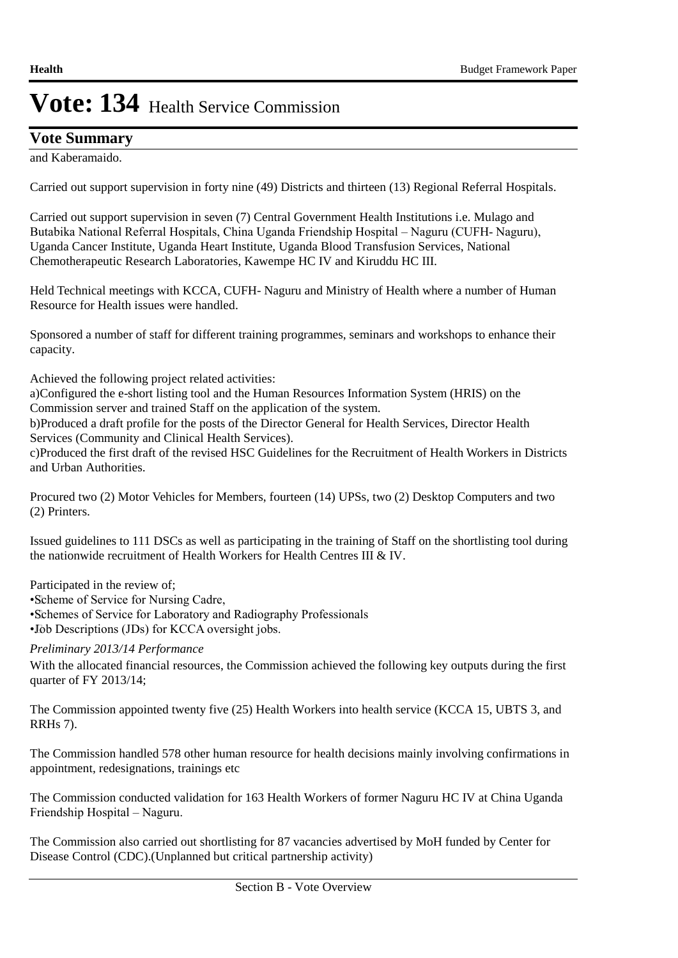# **Vote Summary**

and Kaberamaido.

 Carried out support supervision in forty nine (49) Districts and thirteen (13) Regional Referral Hospitals.

 Carried out support supervision in seven (7) Central Government Health Institutions i.e. Mulago and Butabika National Referral Hospitals, China Uganda Friendship Hospital – Naguru (CUFH- Naguru), Uganda Cancer Institute, Uganda Heart Institute, Uganda Blood Transfusion Services, National Chemotherapeutic Research Laboratories, Kawempe HC IV and Kiruddu HC III.

Held Technical meetings with KCCA, CUFH- Naguru and Ministry of Health where a number of Human Resource for Health issues were handled.

 Sponsored a number of staff for different training programmes, seminars and workshops to enhance their capacity.

 Achieved the following project related activities:

a)Configured the e-short listing tool and the Human Resources Information System (HRIS) on the Commission server and trained Staff on the application of the system.

b)Produced a draft profile for the posts of the Director General for Health Services, Director Health Services (Community and Clinical Health Services).

c)Produced the first draft of the revised HSC Guidelines for the Recruitment of Health Workers in Districts and Urban Authorities.

 Procured two (2) Motor Vehicles for Members, fourteen (14) UPSs, two (2) Desktop Computers and two (2) Printers.

 Issued guidelines to 111 DSCs as well as participating in the training of Staff on the shortlisting tool during the nationwide recruitment of Health Workers for Health Centres III & IV.

 Participated in the review of;

• Scheme of Service for Nursing Cadre,

• Schemes of Service for Laboratory and Radiography Professionals

• Job Descriptions (JDs) for KCCA oversight jobs.

*Preliminary 2013/14 Performance*

With the allocated financial resources, the Commission achieved the following key outputs during the first quarter of FY 2013/14;

The Commission appointed twenty five (25) Health Workers into health service (KCCA 15, UBTS 3, and RRHs 7).

The Commission handled 578 other human resource for health decisions mainly involving confirmations in appointment, redesignations, trainings etc

The Commission conducted validation for 163 Health Workers of former Naguru HC IV at China Uganda Friendship Hospital – Naguru.

The Commission also carried out shortlisting for 87 vacancies advertised by MoH funded by Center for Disease Control (CDC).(Unplanned but critical partnership activity)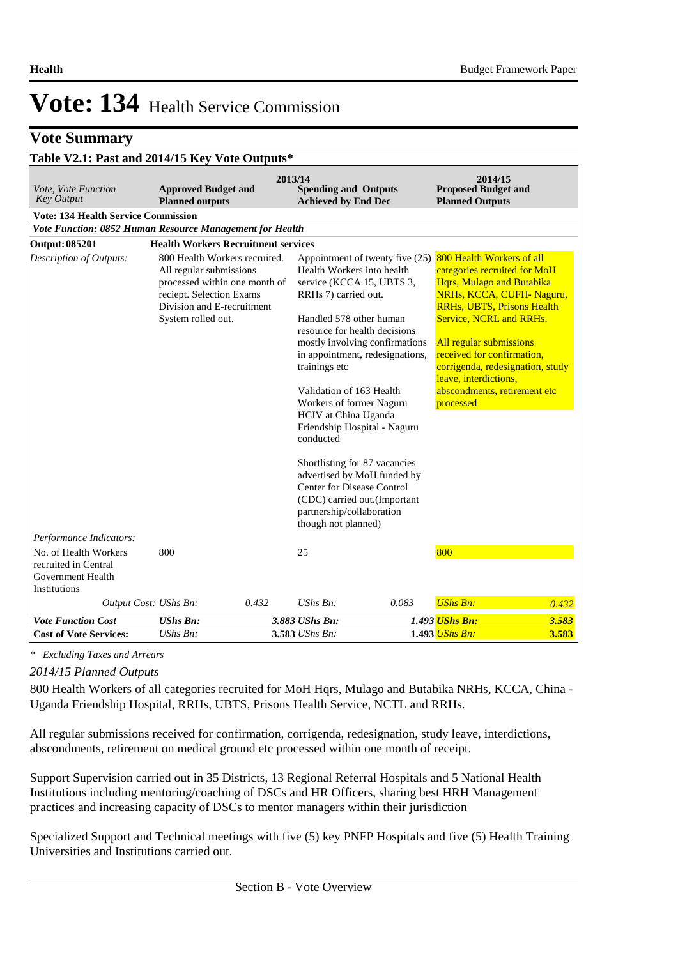## **Vote Summary**

# **Table V2.1: Past and 2014/15 Key Vote Outputs\***

| Vote, Vote Function<br><b>Key Output</b>                                           | <b>Approved Budget and</b><br><b>Planned outputs</b>                                                                                                                      | 2013/14<br><b>Spending and Outputs</b><br><b>Achieved by End Dec</b>                                                                                                                                                                                                                                                                                                                                                                                                                                                                                                                                          | 2014/15<br><b>Proposed Budget and</b><br><b>Planned Outputs</b>                                                                                                                                                                                                                                                                                       |
|------------------------------------------------------------------------------------|---------------------------------------------------------------------------------------------------------------------------------------------------------------------------|---------------------------------------------------------------------------------------------------------------------------------------------------------------------------------------------------------------------------------------------------------------------------------------------------------------------------------------------------------------------------------------------------------------------------------------------------------------------------------------------------------------------------------------------------------------------------------------------------------------|-------------------------------------------------------------------------------------------------------------------------------------------------------------------------------------------------------------------------------------------------------------------------------------------------------------------------------------------------------|
| <b>Vote: 134 Health Service Commission</b>                                         |                                                                                                                                                                           |                                                                                                                                                                                                                                                                                                                                                                                                                                                                                                                                                                                                               |                                                                                                                                                                                                                                                                                                                                                       |
|                                                                                    | Vote Function: 0852 Human Resource Management for Health                                                                                                                  |                                                                                                                                                                                                                                                                                                                                                                                                                                                                                                                                                                                                               |                                                                                                                                                                                                                                                                                                                                                       |
| <b>Output: 085201</b>                                                              | <b>Health Workers Recruitment services</b>                                                                                                                                |                                                                                                                                                                                                                                                                                                                                                                                                                                                                                                                                                                                                               |                                                                                                                                                                                                                                                                                                                                                       |
| Description of Outputs:                                                            | 800 Health Workers recruited.<br>All regular submissions<br>processed within one month of<br>reciept. Selection Exams<br>Division and E-recruitment<br>System rolled out. | Appointment of twenty five (25)<br>Health Workers into health<br>service (KCCA 15, UBTS 3,<br>RRH <sub>s</sub> 7) carried out.<br>Handled 578 other human<br>resource for health decisions<br>mostly involving confirmations<br>in appointment, redesignations,<br>trainings etc<br>Validation of 163 Health<br>Workers of former Naguru<br><b>HCIV</b> at China Uganda<br>Friendship Hospital - Naguru<br>conducted<br>Shortlisting for 87 vacancies<br>advertised by MoH funded by<br><b>Center for Disease Control</b><br>(CDC) carried out.(Important<br>partnership/collaboration<br>though not planned) | 800 Health Workers of all<br>categories recruited for MoH<br>Hqrs, Mulago and Butabika<br>NRHs, KCCA, CUFH-Naguru,<br><b>RRHs, UBTS, Prisons Health</b><br>Service, NCRL and RRHs.<br>All regular submissions<br>received for confirmation,<br>corrigenda, redesignation, study<br>leave, interdictions,<br>abscondments, retirement etc<br>processed |
| Performance Indicators:                                                            |                                                                                                                                                                           |                                                                                                                                                                                                                                                                                                                                                                                                                                                                                                                                                                                                               |                                                                                                                                                                                                                                                                                                                                                       |
| No. of Health Workers<br>recruited in Central<br>Government Health<br>Institutions | 800                                                                                                                                                                       | 25                                                                                                                                                                                                                                                                                                                                                                                                                                                                                                                                                                                                            | 800                                                                                                                                                                                                                                                                                                                                                   |
| Output Cost: UShs Bn:                                                              | 0.432                                                                                                                                                                     | $UShs Bn$ :<br>0.083                                                                                                                                                                                                                                                                                                                                                                                                                                                                                                                                                                                          | <b>UShs Bn:</b><br>0.432                                                                                                                                                                                                                                                                                                                              |
| <b>Vote Function Cost</b>                                                          | <b>UShs Bn:</b>                                                                                                                                                           | 3.883 UShs Bn:                                                                                                                                                                                                                                                                                                                                                                                                                                                                                                                                                                                                | 1.493 UShs Bn:<br>3.583                                                                                                                                                                                                                                                                                                                               |
| <b>Cost of Vote Services:</b>                                                      | UShs Bn:                                                                                                                                                                  | 3.583 UShs Bn:                                                                                                                                                                                                                                                                                                                                                                                                                                                                                                                                                                                                | 1.493 <i>UShs Bn:</i><br>3.583                                                                                                                                                                                                                                                                                                                        |

*\* Excluding Taxes and Arrears*

### *2014/15 Planned Outputs*

800 Health Workers of all categories recruited for MoH Hqrs, Mulago and Butabika NRHs, KCCA, China - Uganda Friendship Hospital, RRHs, UBTS, Prisons Health Service, NCTL and RRHs.

All regular submissions received for confirmation, corrigenda, redesignation, study leave, interdictions, abscondments, retirement on medical ground etc processed within one month of receipt. 

Support Supervision carried out in 35 Districts, 13 Regional Referral Hospitals and 5 National Health Institutions including mentoring/coaching of DSCs and HR Officers, sharing best HRH Management practices and increasing capacity of DSCs to mentor managers within their jurisdiction

Specialized Support and Technical meetings with five (5) key PNFP Hospitals and five (5) Health Training Universities and Institutions carried out.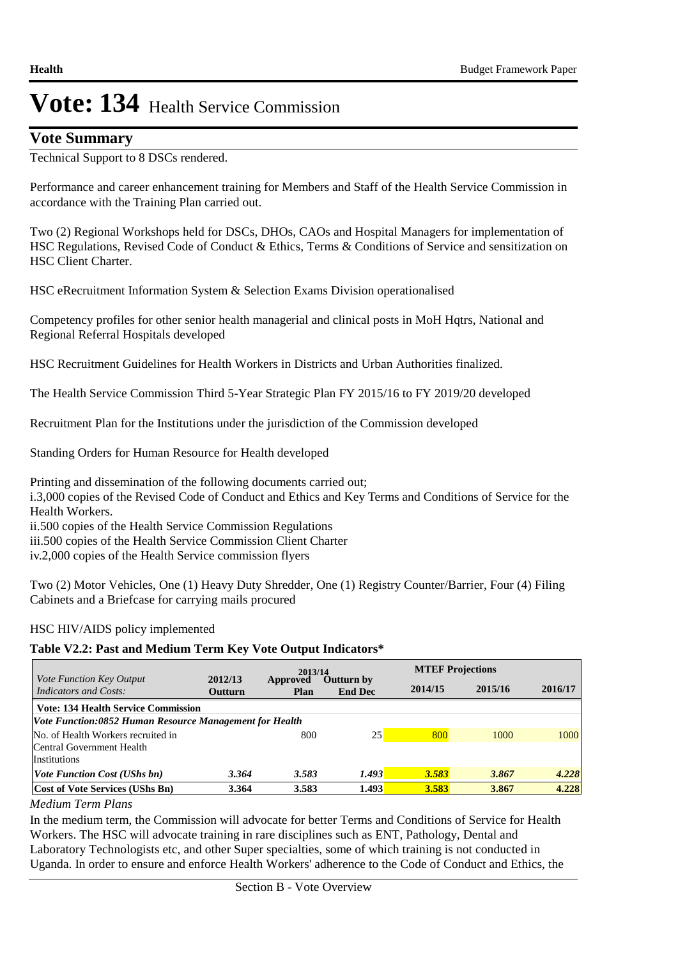## **Vote Summary**

Technical Support to 8 DSCs rendered.

Performance and career enhancement training for Members and Staff of the Health Service Commission in accordance with the Training Plan carried out. 

Two (2) Regional Workshops held for DSCs, DHOs, CAOs and Hospital Managers for implementation of HSC Regulations, Revised Code of Conduct & Ethics, Terms & Conditions of Service and sensitization on HSC Client Charter.

HSC eRecruitment Information System & Selection Exams Division operationalised

Competency profiles for other senior health managerial and clinical posts in MoH Hqtrs, National and Regional Referral Hospitals developed

HSC Recruitment Guidelines for Health Workers in Districts and Urban Authorities finalized.

The Health Service Commission Third 5-Year Strategic Plan FY 2015/16 to FY 2019/20 developed

Recruitment Plan for the Institutions under the jurisdiction of the Commission developed

Standing Orders for Human Resource for Health developed

Printing and dissemination of the following documents carried out; i.3,000 copies of the Revised Code of Conduct and Ethics and Key Terms and Conditions of Service for the Health Workers. ii.500 copies of the Health Service Commission Regulations

iii.500 copies of the Health Service Commission Client Charter

iv. 2,000 copies of the Health Service commission flyers

Two (2) Motor Vehicles, One (1) Heavy Duty Shredder, One (1) Registry Counter/Barrier, Four (4) Filing Cabinets and a Briefcase for carrying mails procured

## HSC HIV/AIDS policy implemented

## **Table V2.2: Past and Medium Term Key Vote Output Indicators\***

|                                                                                                       |                           | 2013/14          |                                     | <b>MTEF Projections</b> |         |         |  |  |
|-------------------------------------------------------------------------------------------------------|---------------------------|------------------|-------------------------------------|-------------------------|---------|---------|--|--|
| <i>Vote Function Key Output</i><br>Indicators and Costs:                                              | 2012/13<br><b>Outturn</b> | Approved<br>Plan | <b>Outturn by</b><br><b>End Dec</b> | 2014/15                 | 2015/16 | 2016/17 |  |  |
| <b>Vote: 134 Health Service Commission</b><br>Vote Function:0852 Human Resource Management for Health |                           |                  |                                     |                         |         |         |  |  |
| No. of Health Workers recruited in<br>Central Government Health<br><i>Institutions</i>                |                           | 800              | 25                                  | 800                     | 1000    | 1000    |  |  |
| <i>Vote Function Cost (UShs bn)</i>                                                                   | 3.364                     | 3.583            | 1.493                               | 3.583                   | 3.867   | 4.228   |  |  |
| <b>Cost of Vote Services (UShs Bn)</b><br>$\cdots$<br>$\mathbf{r}$<br>$\mathbf{D}$                    | 3.364                     | 3.583            | 1.493                               | 3.583                   | 3.867   | 4.228   |  |  |

*Medium Term Plans*

In the medium term, the Commission will advocate for better Terms and Conditions of Service for Health Workers. The HSC will advocate training in rare disciplines such as ENT, Pathology, Dental and Laboratory Technologists etc, and other Super specialties, some of which training is not conducted in Uganda. In order to ensure and enforce Health Workers' adherence to the Code of Conduct and Ethics, the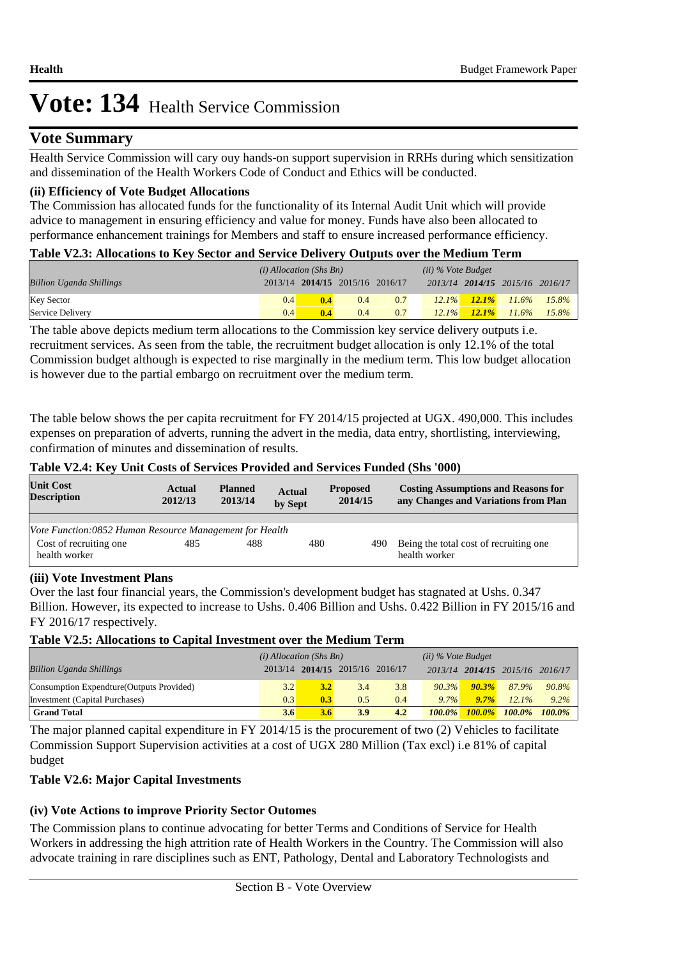# **Vote Summary**

Health Service Commission will cary ouy hands-on support supervision in RRHs during which sensitization and dissemination of the Health Workers Code of Conduct and Ethics will be conducted.

## **(ii) Efficiency of Vote Budget Allocations**

The Commission has allocated funds for the functionality of its Internal Audit Unit which will provide advice to management in ensuring efficiency and value for money. Funds have also been allocated to performance enhancement trainings for Members and staff to ensure increased performance efficiency.

#### **Table V2.3: Allocations to Key Sector and Service Delivery Outputs over the Medium Term**

|                                 | $(i)$ Allocation (Shs Bn) |     |                                 |     | $(ii)$ % Vote Budget |          |                                 |       |
|---------------------------------|---------------------------|-----|---------------------------------|-----|----------------------|----------|---------------------------------|-------|
| <b>Billion Uganda Shillings</b> |                           |     | 2013/14 2014/15 2015/16 2016/17 |     |                      |          | 2013/14 2014/15 2015/16 2016/17 |       |
| <b>Key Sector</b>               | 0.4 <sup>1</sup>          | 0.4 | 0.4                             | 0.7 | $12.1\%$             | $12.1\%$ | $11.6\%$                        | 15.8% |
| Service Delivery                | 0.4                       | 0.4 | 0.4                             | 0.7 | $12.1\%$             | $12.1\%$ | $11.6\%$                        | 15.8% |

The table above depicts medium term allocations to the Commission key service delivery outputs i.e. recruitment services. As seen from the table, the recruitment budget allocation is only 12.1% of the total Commission budget although is expected to rise marginally in the medium term. This low budget allocation is however due to the partial embargo on recruitment over the medium term.

The table below shows the per capita recruitment for FY 2014/15 projected at UGX. 490,000. This includes expenses on preparation of adverts, running the advert in the media, data entry, shortlisting, interviewing, confirmation of minutes and dissemination of results.

#### **Table V2.4: Key Unit Costs of Services Provided and Services Funded (Shs '000)**

| <b>Unit Cost</b><br><b>Description</b>                  | Actual<br>2012/13 | <b>Planned</b><br>2013/14 | <b>Actual</b><br>by Sept | <b>Proposed</b><br>2014/15 | <b>Costing Assumptions and Reasons for</b><br>any Changes and Variations from Plan |
|---------------------------------------------------------|-------------------|---------------------------|--------------------------|----------------------------|------------------------------------------------------------------------------------|
|                                                         |                   |                           |                          |                            |                                                                                    |
| Vote Function:0852 Human Resource Management for Health |                   |                           |                          |                            |                                                                                    |
| Cost of recruiting one<br>health worker                 | 485               | 488                       | 480                      | 490                        | Being the total cost of recruiting one.<br>health worker                           |

#### **(iii) Vote Investment Plans**

Over the last four financial years, the Commission's development budget has stagnated at Ushs. 0.347 Billion. However, its expected to increase to Ushs. 0.406 Billion and Ushs. 0.422 Billion in FY 2015/16 and FY 2016/17 respectively.

#### **Table V2.5: Allocations to Capital Investment over the Medium Term**

|                                           | $(i)$ Allocation (Shs Bn) |     |                         | $(ii)$ % Vote Budget |           |           |                                 |           |
|-------------------------------------------|---------------------------|-----|-------------------------|----------------------|-----------|-----------|---------------------------------|-----------|
| <b>Billion Uganda Shillings</b>           | 2013/14                   |     | 2014/15 2015/16 2016/17 |                      |           |           | 2013/14 2014/15 2015/16 2016/17 |           |
| Consumption Expendture (Outputs Provided) | 3.2                       | 3.2 | 3.4                     | 3.8                  | 90.3%     | 90.3%     | 87.9%                           | $90.8\%$  |
| Investment (Capital Purchases)            | 0.3                       | 0.3 | 0.5                     | 0.4                  | 9.7%      | $9.7\%$   | 12.1%                           | $9.2\%$   |
| <b>Grand Total</b>                        | 3.6                       | 3.6 | 3.9                     | 4.2                  | $100.0\%$ | $100.0\%$ | $100.0\%$                       | $100.0\%$ |

The major planned capital expenditure in FY 2014/15 is the procurement of two (2) Vehicles to facilitate Commission Support Supervision activities at a cost of UGX 280 Million (Tax excl) i.e 81% of capital budget

## **Table V2.6: Major Capital Investments**

## **(iv) Vote Actions to improve Priority Sector Outomes**

The Commission plans to continue advocating for better Terms and Conditions of Service for Health Workers in addressing the high attrition rate of Health Workers in the Country. The Commission will also advocate training in rare disciplines such as ENT, Pathology, Dental and Laboratory Technologists and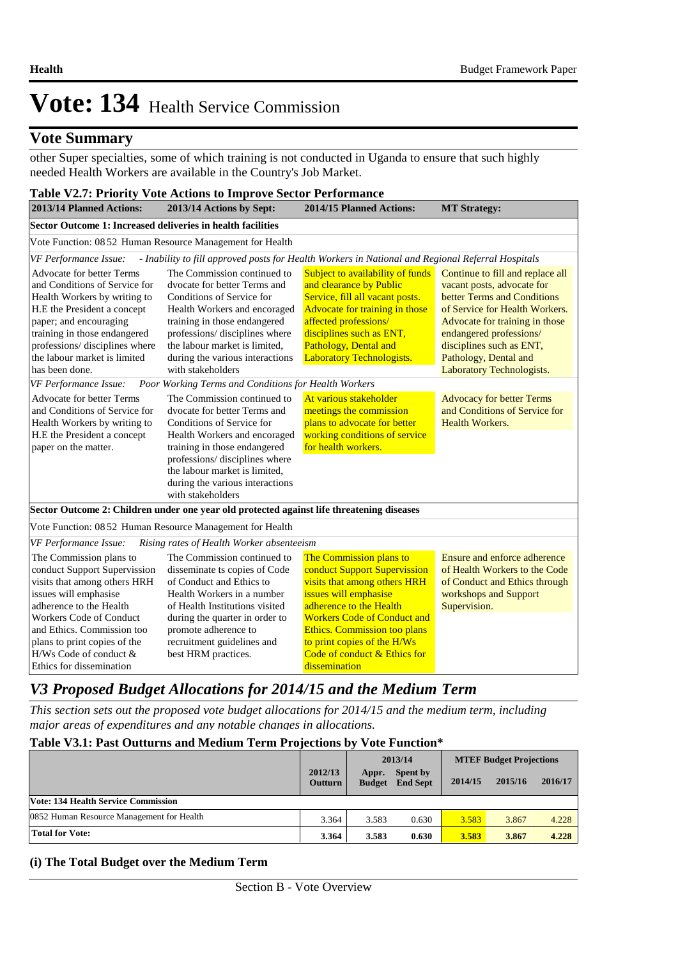## **Vote Summary**

other Super specialties, some of which training is not conducted in Uganda to ensure that such highly needed Health Workers are available in the Country's Job Market.

| <b>Table V2.7: Priority Vote Actions to Improve Sector Performance</b>                                                                                                                                                                                                                                                                                                                                                                         |                                                                                                                                                                                                                                                                                     |                                                                                                                                                                                                                                                    |                                                                                                                                                                                                                                                                                |  |  |  |  |  |
|------------------------------------------------------------------------------------------------------------------------------------------------------------------------------------------------------------------------------------------------------------------------------------------------------------------------------------------------------------------------------------------------------------------------------------------------|-------------------------------------------------------------------------------------------------------------------------------------------------------------------------------------------------------------------------------------------------------------------------------------|----------------------------------------------------------------------------------------------------------------------------------------------------------------------------------------------------------------------------------------------------|--------------------------------------------------------------------------------------------------------------------------------------------------------------------------------------------------------------------------------------------------------------------------------|--|--|--|--|--|
| 2013/14 Planned Actions:                                                                                                                                                                                                                                                                                                                                                                                                                       | 2013/14 Actions by Sept:                                                                                                                                                                                                                                                            | 2014/15 Planned Actions:                                                                                                                                                                                                                           | <b>MT Strategy:</b>                                                                                                                                                                                                                                                            |  |  |  |  |  |
| Sector Outcome 1: Increased deliveries in health facilities                                                                                                                                                                                                                                                                                                                                                                                    |                                                                                                                                                                                                                                                                                     |                                                                                                                                                                                                                                                    |                                                                                                                                                                                                                                                                                |  |  |  |  |  |
|                                                                                                                                                                                                                                                                                                                                                                                                                                                | Vote Function: 08 52 Human Resource Management for Health                                                                                                                                                                                                                           |                                                                                                                                                                                                                                                    |                                                                                                                                                                                                                                                                                |  |  |  |  |  |
| VF Performance Issue:                                                                                                                                                                                                                                                                                                                                                                                                                          | - Inability to fill approved posts for Health Workers in National and Regional Referral Hospitals                                                                                                                                                                                   |                                                                                                                                                                                                                                                    |                                                                                                                                                                                                                                                                                |  |  |  |  |  |
| <b>Advocate for better Terms</b><br>and Conditions of Service for<br>Health Workers by writing to<br>H.E the President a concept<br>paper; and encouraging<br>training in those endangered<br>professions/ disciplines where<br>the labour market is limited<br>has been done.                                                                                                                                                                 | The Commission continued to<br>dvocate for better Terms and<br>Conditions of Service for<br>Health Workers and encoraged<br>training in those endangered<br>professions/ disciplines where<br>the labour market is limited.<br>during the various interactions<br>with stakeholders | Subject to availability of funds<br>and clearance by Public<br>Service, fill all vacant posts.<br>Advocate for training in those<br>affected professions/<br>disciplines such as ENT,<br>Pathology, Dental and<br><b>Laboratory Technologists.</b> | Continue to fill and replace all<br>vacant posts, advocate for<br>better Terms and Conditions<br>of Service for Health Workers.<br>Advocate for training in those<br>endangered professions/<br>disciplines such as ENT,<br>Pathology, Dental and<br>Laboratory Technologists. |  |  |  |  |  |
| VF Performance Issue:                                                                                                                                                                                                                                                                                                                                                                                                                          | Poor Working Terms and Conditions for Health Workers                                                                                                                                                                                                                                |                                                                                                                                                                                                                                                    |                                                                                                                                                                                                                                                                                |  |  |  |  |  |
| The Commission continued to<br><b>Advocate for better Terms</b><br>and Conditions of Service for<br>dyocate for better Terms and<br>Health Workers by writing to<br>Conditions of Service for<br>H.E the President a concept<br>Health Workers and encoraged<br>training in those endangered<br>paper on the matter.<br>professions/disciplines where<br>the labour market is limited,<br>during the various interactions<br>with stakeholders |                                                                                                                                                                                                                                                                                     | At various stakeholder<br>meetings the commission<br>plans to advocate for better<br>working conditions of service<br>for health workers.                                                                                                          | <b>Advocacy for better Terms</b><br>and Conditions of Service for<br><b>Health Workers.</b>                                                                                                                                                                                    |  |  |  |  |  |
|                                                                                                                                                                                                                                                                                                                                                                                                                                                | Sector Outcome 2: Children under one year old protected against life threatening diseases                                                                                                                                                                                           |                                                                                                                                                                                                                                                    |                                                                                                                                                                                                                                                                                |  |  |  |  |  |
|                                                                                                                                                                                                                                                                                                                                                                                                                                                | Vote Function: 08 52 Human Resource Management for Health                                                                                                                                                                                                                           |                                                                                                                                                                                                                                                    |                                                                                                                                                                                                                                                                                |  |  |  |  |  |
| VF Performance Issue:                                                                                                                                                                                                                                                                                                                                                                                                                          | Rising rates of Health Worker absenteeism                                                                                                                                                                                                                                           |                                                                                                                                                                                                                                                    |                                                                                                                                                                                                                                                                                |  |  |  |  |  |
| The Commission plans to<br>conduct Support Supervission<br>visits that among others HRH<br>issues will emphasise<br>adherence to the Health<br><b>Workers Code of Conduct</b><br>and Ethics. Commission too<br>plans to print copies of the                                                                                                                                                                                                    | The Commission continued to<br>disseminate ts copies of Code<br>of Conduct and Ethics to<br>Health Workers in a number<br>of Health Institutions visited<br>during the quarter in order to<br>promote adherence to<br>recruitment guidelines and                                    | The Commission plans to<br>conduct Support Supervission<br>visits that among others HRH<br>issues will emphasise<br>adherence to the Health<br><b>Workers Code of Conduct and</b><br>Ethics. Commission too plans<br>to print copies of the H/Ws   | Ensure and enforce adherence<br>of Health Workers to the Code<br>of Conduct and Ethics through<br>workshops and Support<br>Supervision.                                                                                                                                        |  |  |  |  |  |
| $H/Ws$ Code of conduct $\&$<br>Ethics for dissemination                                                                                                                                                                                                                                                                                                                                                                                        | best HRM practices.                                                                                                                                                                                                                                                                 | Code of conduct & Ethics for<br>dissemination                                                                                                                                                                                                      |                                                                                                                                                                                                                                                                                |  |  |  |  |  |

# *V3 Proposed Budget Allocations for 2014/15 and the Medium Term*

*This section sets out the proposed vote budget allocations for 2014/15 and the medium term, including major areas of expenditures and any notable changes in allocations.* 

## **Table V3.1: Past Outturns and Medium Term Projections by Vote Function\***

|                                            |                           |                        | 2013/14                     | <b>MTEF Budget Projections</b> |         |         |
|--------------------------------------------|---------------------------|------------------------|-----------------------------|--------------------------------|---------|---------|
|                                            | 2012/13<br><b>Outturn</b> | Appr.<br><b>Budget</b> | Spent by<br><b>End Sept</b> | 2014/15                        | 2015/16 | 2016/17 |
| <b>Vote: 134 Health Service Commission</b> |                           |                        |                             |                                |         |         |
| 0852 Human Resource Management for Health  | 3.364                     | 3.583                  | 0.630                       | 3.583                          | 3.867   | 4.228   |
| <b>Total for Vote:</b>                     | 3.364                     | 3.583                  | 0.630                       | 3.583                          | 3.867   | 4.228   |

#### **(i) The Total Budget over the Medium Term**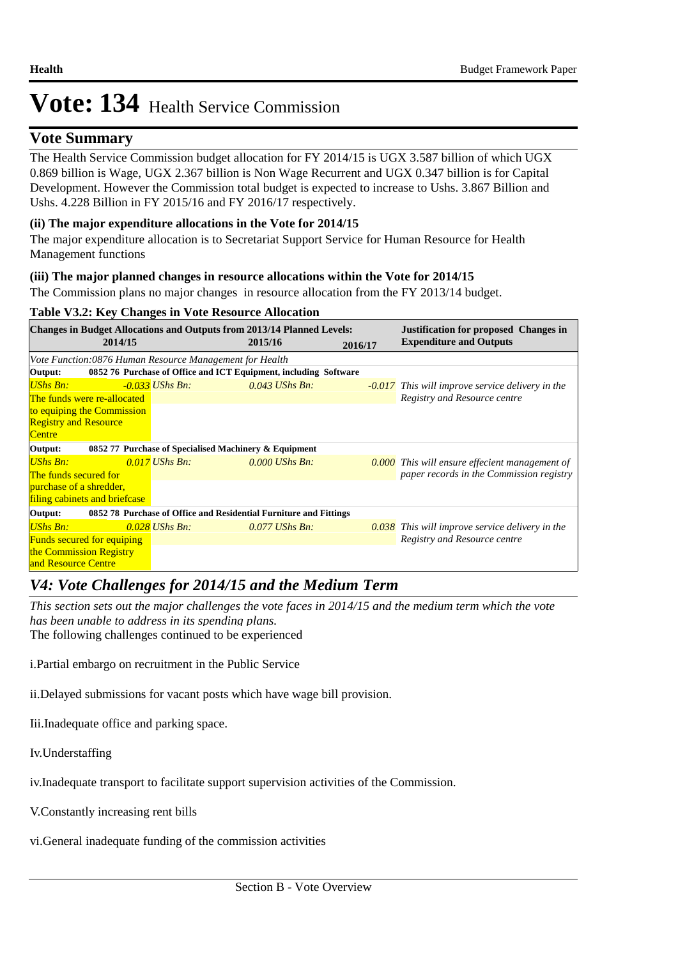## **Vote Summary**

The Health Service Commission budget allocation for FY 2014/15 is UGX 3.587 billion of which UGX 0.869 billion is Wage, UGX 2.367 billion is Non Wage Recurrent and UGX 0.347 billion is for Capital Development. However the Commission total budget is expected to increase to Ushs. 3.867 Billion and Ushs. 4.228 Billion in FY 2015/16 and FY 2016/17 respectively.

## **(ii) The major expenditure allocations in the Vote for 2014/15**

The major expenditure allocation is to Secretariat Support Service for Human Resource for Health Management functions

## **(iii) The major planned changes in resource allocations within the Vote for 2014/15**

The Commission plans no major changes in resource allocation from the FY 2013/14 budget.

## **Table V3.2: Key Changes in Vote Resource Allocation**

|                              |                                   | <b>Changes in Budget Allocations and Outputs from 2013/14 Planned Levels:</b> |         |                  |         | <b>Justification for proposed Changes in</b>            |
|------------------------------|-----------------------------------|-------------------------------------------------------------------------------|---------|------------------|---------|---------------------------------------------------------|
|                              | 2014/15                           |                                                                               | 2015/16 |                  | 2016/17 | <b>Expenditure and Outputs</b>                          |
|                              |                                   | Vote Function:0876 Human Resource Management for Health                       |         |                  |         |                                                         |
| Output:                      |                                   | 0852 76 Purchase of Office and ICT Equipment, including Software              |         |                  |         |                                                         |
| UShs Bn:                     |                                   | $-0.033$ UShs Bn:                                                             |         | $0.043$ UShs Bn: |         | <b>-0.017</b> This will improve service delivery in the |
|                              | The funds were re-allocated       |                                                                               |         |                  |         | Registry and Resource centre                            |
|                              | to equiping the Commission        |                                                                               |         |                  |         |                                                         |
| <b>Registry and Resource</b> |                                   |                                                                               |         |                  |         |                                                         |
| <b>Centre</b>                |                                   |                                                                               |         |                  |         |                                                         |
| Output:                      |                                   | 0852 77 Purchase of Specialised Machinery & Equipment                         |         |                  |         |                                                         |
| <b>UShs Bn:</b>              |                                   | $0.017$ UShs Bn:                                                              |         | $0.000$ UShs Bn: |         | <b>0.000</b> This will ensure effecient management of   |
| The funds secured for        |                                   |                                                                               |         |                  |         | paper records in the Commission registry                |
| purchase of a shredder,      |                                   |                                                                               |         |                  |         |                                                         |
|                              | filing cabinets and briefcase     |                                                                               |         |                  |         |                                                         |
| Output:                      |                                   | 0852 78 Purchase of Office and Residential Furniture and Fittings             |         |                  |         |                                                         |
| <b>UShs Bn:</b>              |                                   | $0.028$ UShs Bn:                                                              |         | $0.077$ UShs Bn: |         | <b>0.038</b> This will improve service delivery in the  |
|                              | <b>Funds secured for equiping</b> |                                                                               |         |                  |         | Registry and Resource centre                            |
| the Commission Registry      |                                   |                                                                               |         |                  |         |                                                         |
| and Resource Centre          |                                   |                                                                               |         |                  |         |                                                         |

# *V4: Vote Challenges for 2014/15 and the Medium Term*

*This section sets out the major challenges the vote faces in 2014/15 and the medium term which the vote has been unable to address in its spending plans.*

The following challenges continued to be experienced

i. Partial embargo on recruitment in the Public Service

ii. Delayed submissions for vacant posts which have wage bill provision.

Iii. Inadequate office and parking space.

Iv.Understaffing

iv. Inadequate transport to facilitate support supervision activities of the Commission.

V. Constantly increasing rent bills

vi. General inadequate funding of the commission activities